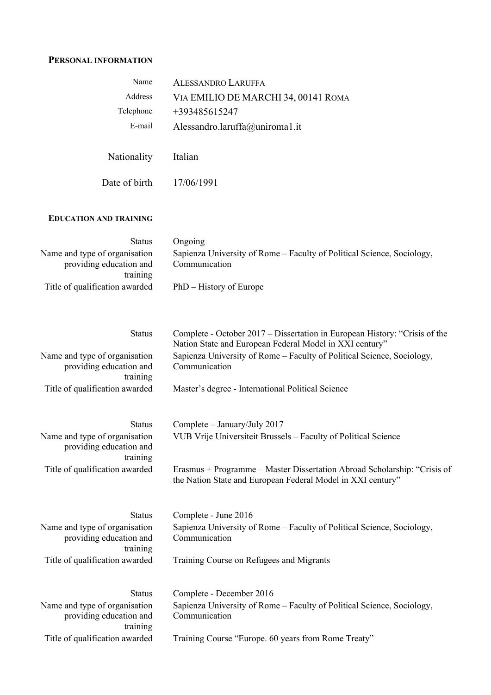## **PERSONAL INFORMATION**

| Name                                                                 | <b>ALESSANDRO LARUFFA</b>                                                                                                               |
|----------------------------------------------------------------------|-----------------------------------------------------------------------------------------------------------------------------------------|
| Address                                                              | VIA EMILIO DE MARCHI 34, 00141 ROMA                                                                                                     |
| Telephone                                                            | +393485615247                                                                                                                           |
| E-mail                                                               | Alessandro.laruffa@uniroma1.it                                                                                                          |
| Nationality                                                          | Italian                                                                                                                                 |
| Date of birth                                                        | 17/06/1991                                                                                                                              |
| <b>EDUCATION AND TRAINING</b>                                        |                                                                                                                                         |
| <b>Status</b>                                                        | Ongoing                                                                                                                                 |
| Name and type of organisation<br>providing education and<br>training | Sapienza University of Rome – Faculty of Political Science, Sociology,<br>Communication                                                 |
| Title of qualification awarded                                       | PhD – History of Europe                                                                                                                 |
| <b>Status</b>                                                        | Complete - October 2017 – Dissertation in European History: "Crisis of the                                                              |
|                                                                      | Nation State and European Federal Model in XXI century"                                                                                 |
| Name and type of organisation<br>providing education and<br>training | Sapienza University of Rome - Faculty of Political Science, Sociology,<br>Communication                                                 |
| Title of qualification awarded                                       | Master's degree - International Political Science                                                                                       |
| <b>Status</b>                                                        | Complete - January/July 2017                                                                                                            |
| Name and type of organisation<br>providing education and<br>training | VUB Vrije Universiteit Brussels - Faculty of Political Science                                                                          |
| Title of qualification awarded                                       | Erasmus + Programme – Master Dissertation Abroad Scholarship: "Crisis of<br>the Nation State and European Federal Model in XXI century" |
| <b>Status</b>                                                        | Complete - June 2016                                                                                                                    |
| Name and type of organisation<br>providing education and<br>training | Sapienza University of Rome - Faculty of Political Science, Sociology,<br>Communication                                                 |
| Title of qualification awarded                                       | Training Course on Refugees and Migrants                                                                                                |
| <b>Status</b>                                                        | Complete - December 2016                                                                                                                |
| Name and type of organisation<br>providing education and<br>training | Sapienza University of Rome - Faculty of Political Science, Sociology,<br>Communication                                                 |
| Title of qualification awarded                                       | Training Course "Europe. 60 years from Rome Treaty"                                                                                     |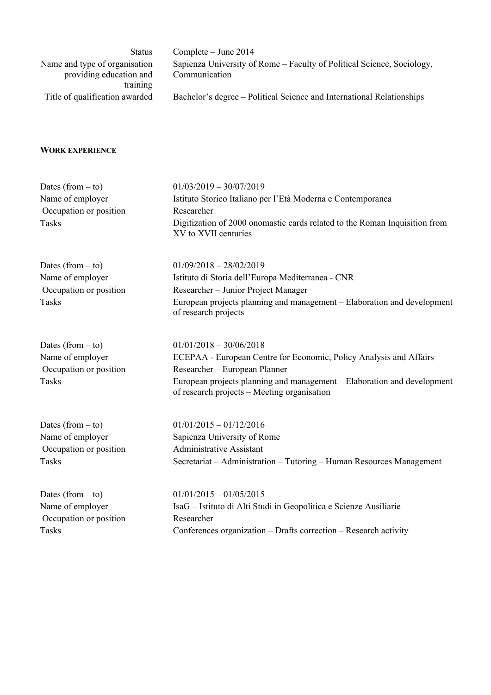| <b>Status</b>                  | Complete $-$ June 2014                                                 |
|--------------------------------|------------------------------------------------------------------------|
| Name and type of organisation  | Sapienza University of Rome – Faculty of Political Science, Sociology, |
| providing education and        | Communication                                                          |
| training                       |                                                                        |
| Title of qualification awarded | Bachelor's degree – Political Science and International Relationships  |
|                                |                                                                        |
|                                |                                                                        |

## **WORK EXPERIENCE**

| Dates (from $-$ to)    | $01/03/2019 - 30/07/2019$                                                                                              |  |  |
|------------------------|------------------------------------------------------------------------------------------------------------------------|--|--|
| Name of employer       | Istituto Storico Italiano per l'Età Moderna e Contemporanea                                                            |  |  |
| Occupation or position | Researcher                                                                                                             |  |  |
| Tasks                  | Digitization of 2000 onomastic cards related to the Roman Inquisition from<br>XV to XVII centuries                     |  |  |
| Dates (from $-$ to)    | $01/09/2018 - 28/02/2019$                                                                                              |  |  |
| Name of employer       | Istituto di Storia dell'Europa Mediterranea - CNR                                                                      |  |  |
| Occupation or position | Researcher - Junior Project Manager                                                                                    |  |  |
| <b>Tasks</b>           | European projects planning and management - Elaboration and development<br>of research projects                        |  |  |
| Dates (from $-$ to)    | $01/01/2018 - 30/06/2018$                                                                                              |  |  |
| Name of employer       | ECEPAA - European Centre for Economic, Policy Analysis and Affairs                                                     |  |  |
| Occupation or position | Researcher - European Planner                                                                                          |  |  |
| <b>Tasks</b>           | European projects planning and management – Elaboration and development<br>of research projects - Meeting organisation |  |  |
| Dates (from $-$ to)    | $01/01/2015 - 01/12/2016$                                                                                              |  |  |
| Name of employer       | Sapienza University of Rome                                                                                            |  |  |
| Occupation or position | <b>Administrative Assistant</b>                                                                                        |  |  |
| <b>Tasks</b>           | Secretariat - Administration - Tutoring - Human Resources Management                                                   |  |  |
| Dates (from $-$ to)    | $01/01/2015 - 01/05/2015$                                                                                              |  |  |

Occupation or position Researcher

Name of employer IsaG – Istituto di Alti Studi in Geopolitica e Scienze Ausiliarie Tasks Conferences organization – Drafts correction – Research activity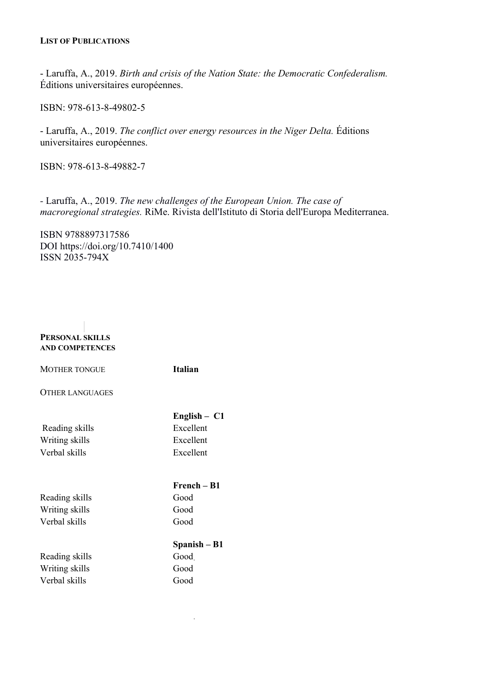- Laruffa, A., 2019. *Birth and crisis of the Nation State: the Democratic Confederalism.*  Éditions universitaires européennes.

ISBN: 978-613-8-49802-5

- Laruffa, A., 2019. *The conflict over energy resources in the Niger Delta.* Éditions universitaires européennes.

ISBN: 978-613-8-49882-7

*-* Laruffa, A., 2019. *The new challenges of the European Union. The case of macroregional strategies.* RiMe. Rivista dell'Istituto di Storia dell'Europa Mediterranea.

ISBN 9788897317586 DOI https://doi.org/10.7410/1400 ISSN 2035-794X

| PERSONAL SKILLS |
|-----------------|
| AND COMPETENCES |

| <b>MOTHER TONGUE</b>   | <b>Italian</b> |
|------------------------|----------------|
| <b>OTHER LANGUAGES</b> |                |
|                        | English $-$ C1 |
| Reading skills         | Excellent      |
| Writing skills         | Excellent      |
| Verbal skills          | Excellent      |
|                        | French – B1    |
|                        |                |
| Reading skills         | Good           |
| Writing skills         | Good           |
| Verbal skills          | Good           |
|                        | Spanish – B1   |
| Reading skills         | Good           |
| Writing skills         | Good           |